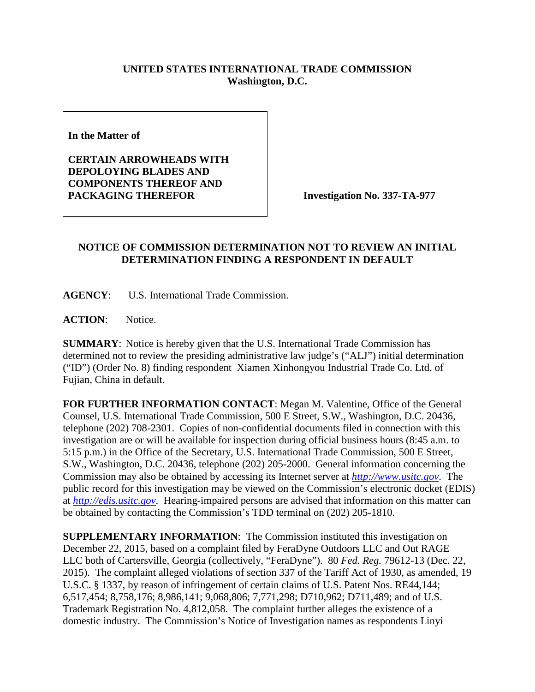## **UNITED STATES INTERNATIONAL TRADE COMMISSION Washington, D.C.**

**In the Matter of** 

**CERTAIN ARROWHEADS WITH DEPOLOYING BLADES AND COMPONENTS THEREOF AND**  PACKAGING THEREFOR **Investigation No. 337-TA-977** 

## **NOTICE OF COMMISSION DETERMINATION NOT TO REVIEW AN INITIAL DETERMINATION FINDING A RESPONDENT IN DEFAULT**

**AGENCY**: U.S. International Trade Commission.

**ACTION**: Notice.

**SUMMARY**: Notice is hereby given that the U.S. International Trade Commission has determined not to review the presiding administrative law judge's ("ALJ") initial determination ("ID") (Order No. 8) finding respondent Xiamen Xinhongyou Industrial Trade Co. Ltd. of Fujian, China in default.

**FOR FURTHER INFORMATION CONTACT**: Megan M. Valentine, Office of the General Counsel, U.S. International Trade Commission, 500 E Street, S.W., Washington, D.C. 20436, telephone (202) 708-2301. Copies of non-confidential documents filed in connection with this investigation are or will be available for inspection during official business hours (8:45 a.m. to 5:15 p.m.) in the Office of the Secretary, U.S. International Trade Commission, 500 E Street, S.W., Washington, D.C. 20436, telephone (202) 205-2000. General information concerning the Commission may also be obtained by accessing its Internet server at *[http://www.usitc.gov](http://www.usitc.gov/)*. The public record for this investigation may be viewed on the Commission's electronic docket (EDIS) at *[http://edis.usitc.gov](http://edis.usitc.gov/)*. Hearing-impaired persons are advised that information on this matter can be obtained by contacting the Commission's TDD terminal on (202) 205-1810.

**SUPPLEMENTARY INFORMATION**: The Commission instituted this investigation on December 22, 2015, based on a complaint filed by FeraDyne Outdoors LLC and Out RAGE LLC both of Cartersville, Georgia (collectively, "FeraDyne"). 80 *Fed. Reg.* 79612-13 (Dec. 22, 2015). The complaint alleged violations of section 337 of the Tariff Act of 1930, as amended, 19 U.S.C. § 1337, by reason of infringement of certain claims of U.S. Patent Nos. RE44,144; 6,517,454; 8,758,176; 8,986,141; 9,068,806; 7,771,298; D710,962; D711,489; and of U.S. Trademark Registration No. 4,812,058. The complaint further alleges the existence of a domestic industry. The Commission's Notice of Investigation names as respondents Linyi